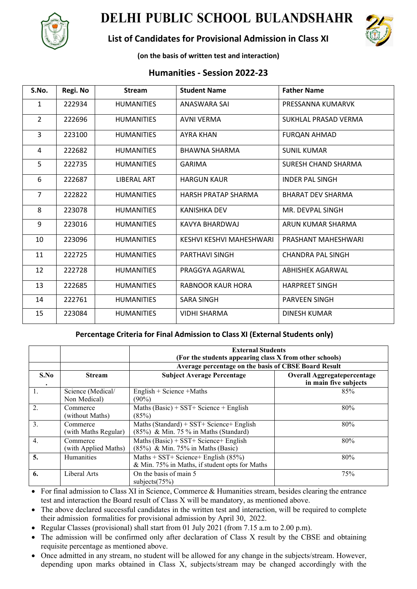

## **DELHI PUBLIC SCHOOL BULANDSHAHR**

## **List of Candidates for Provisional Admission in Class XI**



**(on the basis of written test and interaction)**

## **Humanities - Session 2022-23**

| S.No.          | Regi. No | <b>Stream</b>     | <b>Student Name</b>      | <b>Father Name</b>       |
|----------------|----------|-------------------|--------------------------|--------------------------|
| $\mathbf{1}$   | 222934   | <b>HUMANITIES</b> | ANASWARA SAI             | PRESSANNA KUMARVK        |
| $\overline{2}$ | 222696   | <b>HUMANITIES</b> | <b>AVNI VERMA</b>        | SUKHLAL PRASAD VERMA     |
| 3              | 223100   | <b>HUMANITIES</b> | <b>AYRA KHAN</b>         | <b>FURQAN AHMAD</b>      |
| 4              | 222682   | <b>HUMANITIES</b> | <b>BHAWNA SHARMA</b>     | <b>SUNIL KUMAR</b>       |
| 5              | 222735   | <b>HUMANITIES</b> | <b>GARIMA</b>            | SURESH CHAND SHARMA      |
| 6              | 222687   | LIBERAL ART       | <b>HARGUN KAUR</b>       | <b>INDER PAL SINGH</b>   |
| $\overline{7}$ | 222822   | <b>HUMANITIES</b> | HARSH PRATAP SHARMA      | <b>BHARAT DEV SHARMA</b> |
| 8              | 223078   | <b>HUMANITIES</b> | <b>KANISHKA DEV</b>      | MR. DEVPAL SINGH         |
| 9              | 223016   | <b>HUMANITIES</b> | KAVYA BHARDWAJ           | ARUN KUMAR SHARMA        |
| 10             | 223096   | <b>HUMANITIES</b> | KESHVI KESHVI MAHESHWARI | PRASHANT MAHESHWARI      |
| 11             | 222725   | <b>HUMANITIES</b> | PARTHAVI SINGH           | <b>CHANDRA PAL SINGH</b> |
| 12             | 222728   | <b>HUMANITIES</b> | PRAGGYA AGARWAL          | ABHISHEK AGARWAL         |
| 13             | 222685   | <b>HUMANITIES</b> | RABNOOR KAUR HORA        | <b>HARPREET SINGH</b>    |
| 14             | 222761   | <b>HUMANITIES</b> | <b>SARA SINGH</b>        | <b>PARVEEN SINGH</b>     |
| 15             | 223084   | <b>HUMANITIES</b> | <b>VIDHI SHARMA</b>      | <b>DINESH KUMAR</b>      |

## **Percentage Criteria for Final Admission to Class XI (External Students only)**

|                  |                                   | <b>External Students</b><br>(For the students appearing class X from other schools)<br>Average percentage on the basis of CBSE Board Result |                                                             |  |
|------------------|-----------------------------------|---------------------------------------------------------------------------------------------------------------------------------------------|-------------------------------------------------------------|--|
| S.No<br>٠        | <b>Stream</b>                     | <b>Subject Average Percentage</b>                                                                                                           | <b>Overall Aggregatepercentage</b><br>in main five subjects |  |
| 1.               | Science (Medical/<br>Non Medical) | English + Science + Maths<br>$(90\%)$                                                                                                       | 85%                                                         |  |
| 2.               | Commerce<br>(without Maths)       | Maths $(Basic)$ + SST+ Science + English<br>(85%)                                                                                           | 80%                                                         |  |
| 3.               | Commerce<br>(with Maths Regular)  | Maths (Standard) + $SST+$ Science + English<br>(85%) & Min. 75 % in Maths (Standard)                                                        | 80%                                                         |  |
| $\overline{4}$ . | Commerce<br>(with Applied Maths)  | Maths $(Basic) + SST + Science + English$<br>(85%) & Min. 75% in Maths (Basic)                                                              | 80%                                                         |  |
| 5.               | Humanities                        | Maths + SST+ Science+ English $(85%)$<br>& Min. 75% in Maths, if student opts for Maths                                                     | 80%                                                         |  |
| 6.               | Liberal Arts                      | On the basis of main 5<br>subjects $(75%)$                                                                                                  | 75%                                                         |  |

- For final admission to Class XI in Science, Commerce & Humanities stream, besides clearing the entrance test and interaction the Board result of Class X will be mandatory, as mentioned above.
- The above declared successful candidates in the written test and interaction, will be required to complete their admission formalities for provisional admission by April 30, 2022.
- Regular Classes (provisional) shall start from 01 July 2021 (from 7.15 a.m to 2.00 p.m).
- The admission will be confirmed only after declaration of Class X result by the CBSE and obtaining requisite percentage as mentioned above.
- Once admitted in any stream, no student will be allowed for any change in the subjects/stream. However, depending upon marks obtained in Class X, subjects/stream may be changed accordingly with the